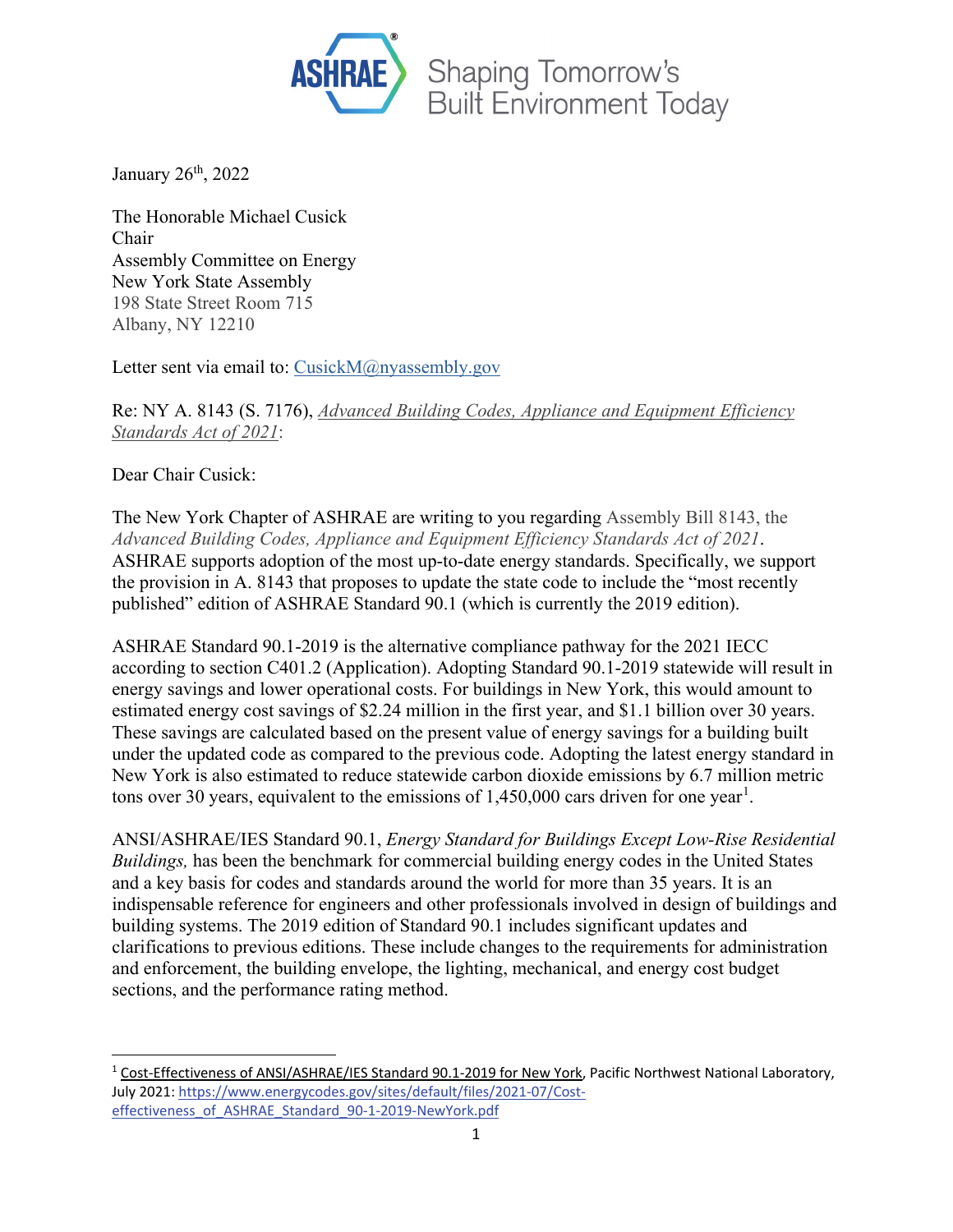

January 26<sup>th</sup>, 2022

The Honorable Michael Cusick Chair Assembly Committee on Energy New York State Assembly 198 State Street Room 715 Albany, NY 12210

Letter sent via email to: [CusickM@nyassembly.gov](mailto:cusickm@nyassembly.gov)

Re: NY A. 8143 (S. 7176), *Advanced Building Codes, Appliance and Equipment Efficiency Standards Act of 2021*:

Dear Chair Cusick:

The New York Chapter of ASHRAE are writing to you regarding Assembly Bill 8143, the *Advanced Building Codes, Appliance and Equipment Efficiency Standards Act of 2021*. ASHRAE supports adoption of the most up-to-date energy standards. Specifically, we support the provision in A. 8143 that proposes to update the state code to include the "most recently published" edition of ASHRAE Standard 90.1 (which is currently the 2019 edition).

ASHRAE Standard 90.1-2019 is the alternative compliance pathway for the 2021 IECC according to section C401.2 (Application). Adopting Standard 90.1-2019 statewide will result in energy savings and lower operational costs. For buildings in New York, this would amount to estimated energy cost savings of \$2.24 million in the first year, and \$1.1 billion over 30 years. These savings are calculated based on the present value of energy savings for a building built under the updated code as compared to the previous code. Adopting the latest energy standard in New York is also estimated to reduce statewide carbon dioxide emissions by 6.7 million metric tons over 30 years, equivalent to the emissions of  $1,450,000$  $1,450,000$  cars driven for one year<sup>1</sup>.

ANSI/ASHRAE/IES Standard 90.1, *Energy Standard for Buildings Except Low-Rise Residential Buildings,* has been the benchmark for commercial building energy codes in the United States and a key basis for codes and standards around the world for more than 35 years. It is an indispensable reference for engineers and other professionals involved in design of buildings and building systems. The 2019 edition of Standard 90.1 includes significant updates and clarifications to previous editions. These include changes to the requirements for administration and enforcement, the building envelope, the lighting, mechanical, and energy cost budget sections, and the performance rating method.

<span id="page-0-0"></span><sup>1</sup> Cost-Effectiveness of ANSI/ASHRAE/IES Standard 90.1-2019 for New York, Pacific Northwest National Laboratory, July 2021[: https://www.energycodes.gov/sites/default/files/2021-07/Cost](https://www.energycodes.gov/sites/default/files/2021-07/Cost-effectiveness_of_ASHRAE_Standard_90-1-2019-NewYork.pdf)[effectiveness\\_of\\_ASHRAE\\_Standard\\_90-1-2019-NewYork.pdf](https://www.energycodes.gov/sites/default/files/2021-07/Cost-effectiveness_of_ASHRAE_Standard_90-1-2019-NewYork.pdf)